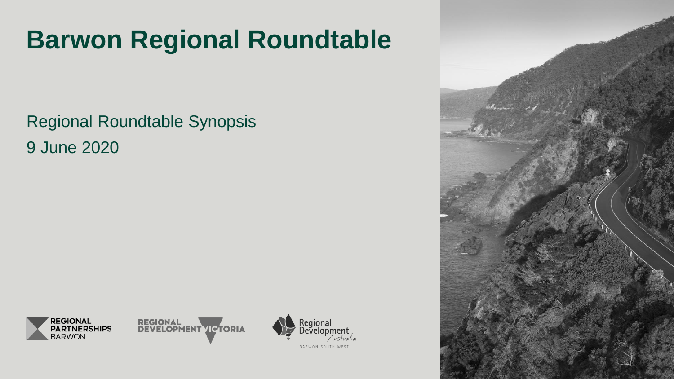# **Barwon Regional Roundtable**

Regional Roundtable Synopsis 9 June 2020







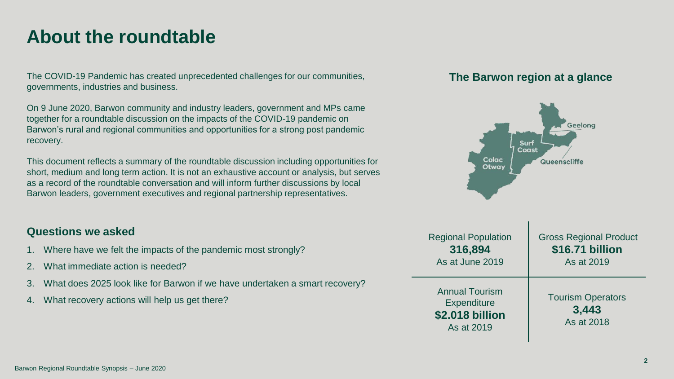### **About the roundtable**

The COVID-19 Pandemic has created unprecedented challenges for our communities, governments, industries and business.

On 9 June 2020, Barwon community and industry leaders, government and MPs came together for a roundtable discussion on the impacts of the COVID-19 pandemic on Barwon's rural and regional communities and opportunities for a strong post pandemic recovery.

This document reflects a summary of the roundtable discussion including opportunities for short, medium and long term action. It is not an exhaustive account or analysis, but serves as a record of the roundtable conversation and will inform further discussions by local Barwon leaders, government executives and regional partnership representatives.

### **Questions we asked**

- 1. Where have we felt the impacts of the pandemic most strongly?
- 2. What immediate action is needed?
- 3. What does 2025 look like for Barwon if we have undertaken a smart recovery?
- 4. What recovery actions will help us get there?

### **The Barwon region at a glance**

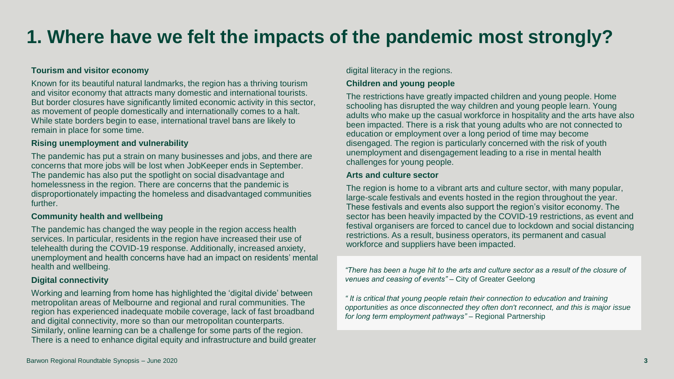# **1. Where have we felt the impacts of the pandemic most strongly?**

#### **Tourism and visitor economy**

Known for its beautiful natural landmarks, the region has a thriving tourism and visitor economy that attracts many domestic and international tourists. But border closures have significantly limited economic activity in this sector, as movement of people domestically and internationally comes to a halt. While state borders begin to ease, international travel bans are likely to remain in place for some time.

#### **Rising unemployment and vulnerability**

The pandemic has put a strain on many businesses and jobs, and there are concerns that more jobs will be lost when JobKeeper ends in September. The pandemic has also put the spotlight on social disadvantage and homelessness in the region. There are concerns that the pandemic is disproportionately impacting the homeless and disadvantaged communities further.

#### **Community health and wellbeing**

The pandemic has changed the way people in the region access health services. In particular, residents in the region have increased their use of telehealth during the COVID-19 response. Additionally, increased anxiety, unemployment and health concerns have had an impact on residents' mental health and wellbeing.

#### **Digital connectivity**

Working and learning from home has highlighted the 'digital divide' between metropolitan areas of Melbourne and regional and rural communities. The region has experienced inadequate mobile coverage, lack of fast broadband and digital connectivity, more so than our metropolitan counterparts. Similarly, online learning can be a challenge for some parts of the region. There is a need to enhance digital equity and infrastructure and build greater

#### digital literacy in the regions.

#### **Children and young people**

The restrictions have greatly impacted children and young people. Home schooling has disrupted the way children and young people learn. Young adults who make up the casual workforce in hospitality and the arts have also been impacted. There is a risk that young adults who are not connected to education or employment over a long period of time may become disengaged. The region is particularly concerned with the risk of youth unemployment and disengagement leading to a rise in mental health challenges for young people.

#### **Arts and culture sector**

The region is home to a vibrant arts and culture sector, with many popular, large-scale festivals and events hosted in the region throughout the year. These festivals and events also support the region's visitor economy. The sector has been heavily impacted by the COVID-19 restrictions, as event and festival organisers are forced to cancel due to lockdown and social distancing restrictions. As a result, business operators, its permanent and casual workforce and suppliers have been impacted.

*"There has been a huge hit to the arts and culture sector as a result of the closure of venues and ceasing of events"* – City of Greater Geelong

*" It is critical that young people retain their connection to education and training opportunities as once disconnected they often don't reconnect, and this is major issue for long term employment pathways"* – Regional Partnership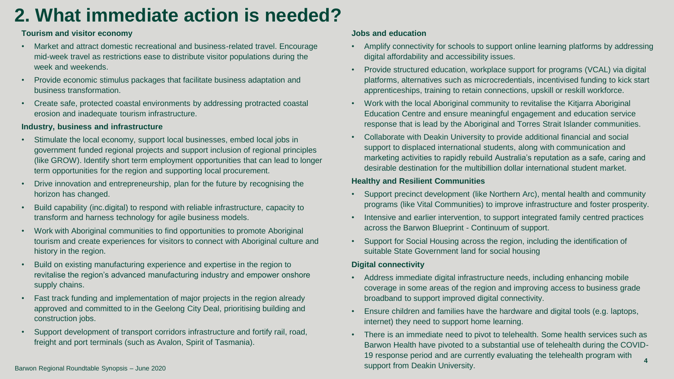# **2. What immediate action is needed?**

#### **Tourism and visitor economy**

- Market and attract domestic recreational and business-related travel. Encourage mid-week travel as restrictions ease to distribute visitor populations during the week and weekends.
- Provide economic stimulus packages that facilitate business adaptation and business transformation.
- Create safe, protected coastal environments by addressing protracted coastal erosion and inadequate tourism infrastructure.

#### **Industry, business and infrastructure**

- Stimulate the local economy, support local businesses, embed local jobs in government funded regional projects and support inclusion of regional principles (like GROW). Identify short term employment opportunities that can lead to longer term opportunities for the region and supporting local procurement.
- Drive innovation and entrepreneurship, plan for the future by recognising the horizon has changed.
- Build capability (inc.digital) to respond with reliable infrastructure, capacity to transform and harness technology for agile business models.
- Work with Aboriginal communities to find opportunities to promote Aboriginal tourism and create experiences for visitors to connect with Aboriginal culture and history in the region.
- Build on existing manufacturing experience and expertise in the region to revitalise the region's advanced manufacturing industry and empower onshore supply chains.
- Fast track funding and implementation of major projects in the region already approved and committed to in the Geelong City Deal, prioritising building and construction jobs.
- Support development of transport corridors infrastructure and fortify rail, road, freight and port terminals (such as Avalon, Spirit of Tasmania).

#### **Jobs and education**

- Amplify connectivity for schools to support online learning platforms by addressing digital affordability and accessibility issues.
- Provide structured education, workplace support for programs (VCAL) via digital platforms, alternatives such as microcredentials, incentivised funding to kick start apprenticeships, training to retain connections, upskill or reskill workforce.
- Work with the local Aboriginal community to revitalise the Kitjarra Aboriginal Education Centre and ensure meaningful engagement and education service response that is lead by the Aboriginal and Torres Strait Islander communities.
- Collaborate with Deakin University to provide additional financial and social support to displaced international students, along with communication and marketing activities to rapidly rebuild Australia's reputation as a safe, caring and desirable destination for the multibillion dollar international student market.

#### **Healthy and Resilient Communities**

- Support precinct development (like Northern Arc), mental health and community programs (like Vital Communities) to improve infrastructure and foster prosperity.
- Intensive and earlier intervention, to support integrated family centred practices across the Barwon Blueprint - Continuum of support.
- Support for Social Housing across the region, including the identification of suitable State Government land for social housing

#### **Digital connectivity**

- Address immediate digital infrastructure needs, including enhancing mobile coverage in some areas of the region and improving access to business grade broadband to support improved digital connectivity.
- Ensure children and families have the hardware and digital tools (e.g. laptops, internet) they need to support home learning.
- There is an immediate need to pivot to telehealth. Some health services such as Barwon Health have pivoted to a substantial use of telehealth during the COVID-19 response period and are currently evaluating the telehealth program with support from Deakin University. **<sup>4</sup>**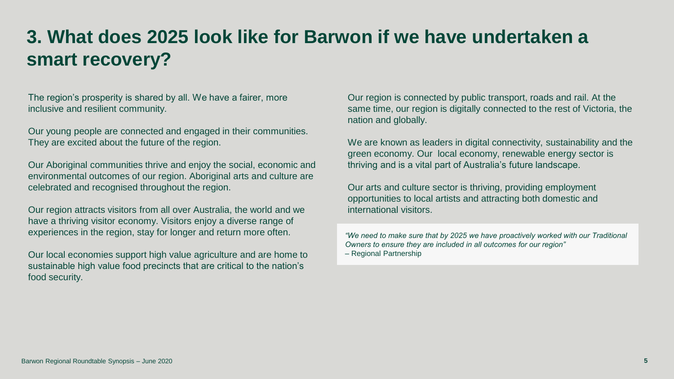# **3. What does 2025 look like for Barwon if we have undertaken a smart recovery?**

The region's prosperity is shared by all. We have a fairer, more inclusive and resilient community.

Our young people are connected and engaged in their communities. They are excited about the future of the region.

Our Aboriginal communities thrive and enjoy the social, economic and environmental outcomes of our region. Aboriginal arts and culture are celebrated and recognised throughout the region.

Our region attracts visitors from all over Australia, the world and we have a thriving visitor economy. Visitors enjoy a diverse range of experiences in the region, stay for longer and return more often.

Our local economies support high value agriculture and are home to sustainable high value food precincts that are critical to the nation's food security.

Our region is connected by public transport, roads and rail. At the same time, our region is digitally connected to the rest of Victoria, the nation and globally.

We are known as leaders in digital connectivity, sustainability and the green economy. Our local economy, renewable energy sector is thriving and is a vital part of Australia's future landscape.

Our arts and culture sector is thriving, providing employment opportunities to local artists and attracting both domestic and international visitors.

*"We need to make sure that by 2025 we have proactively worked with our Traditional Owners to ensure they are included in all outcomes for our region"*  – Regional Partnership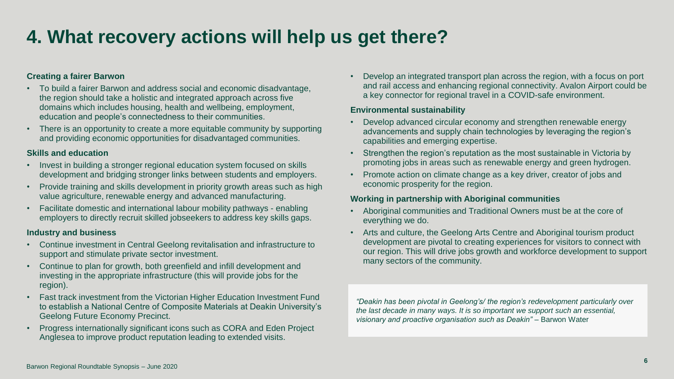# **4. What recovery actions will help us get there?**

#### **Creating a fairer Barwon**

- To build a fairer Barwon and address social and economic disadvantage, the region should take a holistic and integrated approach across five domains which includes housing, health and wellbeing, employment, education and people's connectedness to their communities.
- There is an opportunity to create a more equitable community by supporting and providing economic opportunities for disadvantaged communities.

#### **Skills and education**

- Invest in building a stronger regional education system focused on skills development and bridging stronger links between students and employers.
- Provide training and skills development in priority growth areas such as high value agriculture, renewable energy and advanced manufacturing.
- Facilitate domestic and international labour mobility pathways enabling employers to directly recruit skilled jobseekers to address key skills gaps.

#### **Industry and business**

- Continue investment in Central Geelong revitalisation and infrastructure to support and stimulate private sector investment.
- Continue to plan for growth, both greenfield and infill development and investing in the appropriate infrastructure (this will provide jobs for the region).
- Fast track investment from the Victorian Higher Education Investment Fund to establish a National Centre of Composite Materials at Deakin University's Geelong Future Economy Precinct.
- Progress internationally significant icons such as CORA and Eden Project Anglesea to improve product reputation leading to extended visits.

• Develop an integrated transport plan across the region, with a focus on port and rail access and enhancing regional connectivity. Avalon Airport could be a key connector for regional travel in a COVID-safe environment.

#### **Environmental sustainability**

- Develop advanced circular economy and strengthen renewable energy advancements and supply chain technologies by leveraging the region's capabilities and emerging expertise.
- Strengthen the region's reputation as the most sustainable in Victoria by promoting jobs in areas such as renewable energy and green hydrogen.
- Promote action on climate change as a key driver, creator of jobs and economic prosperity for the region.

#### **Working in partnership with Aboriginal communities**

- Aboriginal communities and Traditional Owners must be at the core of everything we do.
- Arts and culture, the Geelong Arts Centre and Aboriginal tourism product development are pivotal to creating experiences for visitors to connect with our region. This will drive jobs growth and workforce development to support many sectors of the community.

*"Deakin has been pivotal in Geelong's/ the region's redevelopment particularly over the last decade in many ways. It is so important we support such an essential, visionary and proactive organisation such as Deakin"* – Barwon Water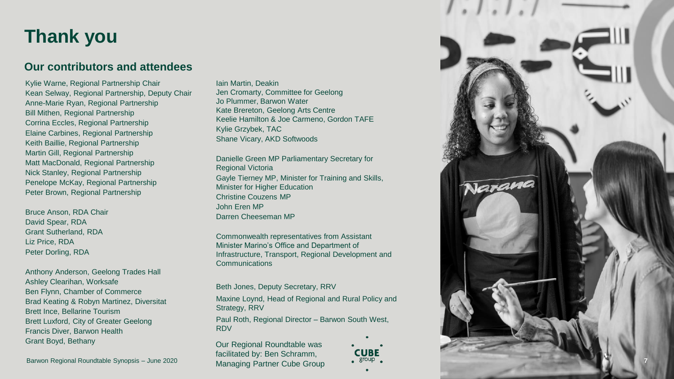### **Thank you**

### **Our contributors and attendees**

Kylie Warne, Regional Partnership Chair Kean Selway, Regional Partnership, Deputy Chair Anne -Marie Ryan, Regional Partnership Bill Mithen, Regional Partnership Corrina Eccles, Regional Partnership Elaine Carbines, Regional Partnership Keith Baillie, Regional Partnership Martin Gill, Regional Partnership Matt MacDonald, Regional Partnership Nick Stanley, Regional Partnership Penelope McKay, Regional Partnership Peter Brown, Regional Partnership

Bruce Anson, RDA Chair David Spear, RDA Grant Sutherland, RDA Liz Price, RDA Peter Dorling, RDA

Anthony Anderson, Geelong Trades Hall Ashley Clearihan, Worksafe Ben Flynn, Chamber of Commerce Brad Keating & Robyn Martinez, Diversitat Brett Ince, Bellarine Tourism Brett Luxford, City of Greater Geelong Francis Diver, Barwon Health Grant Boyd, Bethany

Barwon Regional Roundtable Synopsis – June 2020

Iain Martin, Deakin Jen Cromarty, Committee for Geelong Jo Plummer, Barwon Water Kate Brereton, Geelong Arts Centre Keelie Hamilton & Joe Carmeno, Gordon TAFE Kylie Grzybek, TAC Shane Vicary, AKD Softwoods

Danielle Green MP Parliamentary Secretary for Regional Victoria Gayle Tierney MP, Minister for Training and Skills, **Minister for Higher Education** Christine Couzens MP John Eren MP Darren Cheeseman MP

Commonwealth representatives from Assistant Minister Marino's Office and Department of Infrastructure, Transport, Regional Development and Communications

Beth Jones, Deputy Secretary, RRV

Maxine Loynd, Head of Regional and Rural Policy and Strategy, RRV

Paul Roth, Regional Director – Barwon South West, RDV

Our Regional Roundtable was facilitated by: Ben Schramm, Managing Partner Cube Group